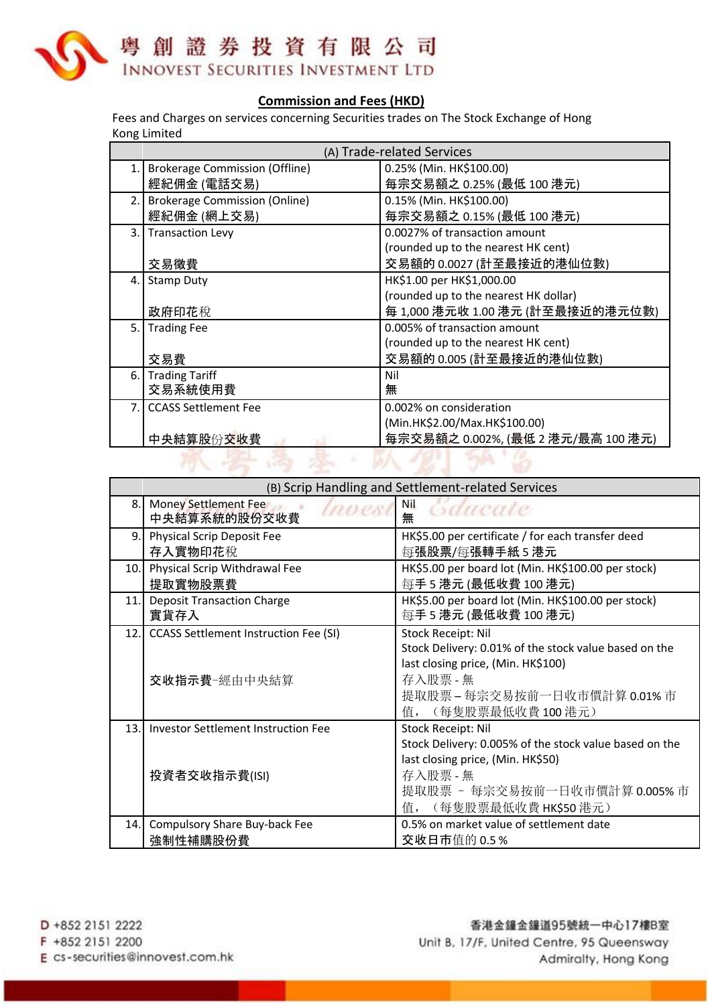

## **Commission and Fees (HKD)**

Fees and Charges on services concerning Securities trades on The Stock Exchange of Hong Kong Limited

|                | (A) Trade-related Services            |                                       |  |
|----------------|---------------------------------------|---------------------------------------|--|
| $\mathbf{1}$ . | <b>Brokerage Commission (Offline)</b> | 0.25% (Min. HK\$100.00)               |  |
|                | 經紀佣金 (電話交易)                           | 每宗交易額之 0.25% (最低 100 港元)              |  |
|                | 2. Brokerage Commission (Online)      | 0.15% (Min. HK\$100.00)               |  |
|                | 經紀佣金 (網上交易)                           | 每宗交易額之 0.15% (最低 100 港元)              |  |
| 3.             | <b>Transaction Levy</b>               | 0.0027% of transaction amount         |  |
|                |                                       | (rounded up to the nearest HK cent)   |  |
|                | 交易徵費                                  | 交易額的 0.0027 (計至最接近的港仙位數)              |  |
| 4.             | <b>Stamp Duty</b>                     | HK\$1.00 per HK\$1,000.00             |  |
|                |                                       | (rounded up to the nearest HK dollar) |  |
|                | 政府印花稅                                 | 每 1,000 港元收 1.00 港元 (計至最接近的港元位數)      |  |
| 5. I           | <b>Trading Fee</b>                    | 0.005% of transaction amount          |  |
|                |                                       | (rounded up to the nearest HK cent)   |  |
|                | 交易費                                   | 交易額的 0.005 (計至最接近的港仙位數)               |  |
|                | 6. Trading Tariff                     | Nil                                   |  |
|                | 交易系統使用費                               | 無                                     |  |
| 7 <sub>1</sub> | <b>CCASS Settlement Fee</b>           | 0.002% on consideration               |  |
|                |                                       | (Min.HK\$2.00/Max.HK\$100.00)         |  |
|                | 中央結算股份交收費                             | 每宗交易額之 0.002%, (最低 2 港元/最高 100 港元)    |  |
|                |                                       |                                       |  |

|      | (B) Scrip Handling and Settlement-related Services           |                                                                                                                                                                                           |  |
|------|--------------------------------------------------------------|-------------------------------------------------------------------------------------------------------------------------------------------------------------------------------------------|--|
| 8.   | Money Settlement Fee<br>中央結算系統的股份交收費                         | Nil<br>Gdueate<br>無                                                                                                                                                                       |  |
| 9.   | Physical Scrip Deposit Fee<br>存入實物印花稅                        | HK\$5.00 per certificate / for each transfer deed<br>每張股票/每張轉手紙5港元                                                                                                                        |  |
| 10.1 | Physical Scrip Withdrawal Fee<br>提取實物股票費                     | HK\$5.00 per board lot (Min. HK\$100.00 per stock)<br>每手 5 港元 (最低收費 100 港元)                                                                                                               |  |
| 11.  | <b>Deposit Transaction Charge</b><br>實貨存入                    | HK\$5.00 per board lot (Min. HK\$100.00 per stock)<br>每手 5 港元 (最低收費 100 港元)                                                                                                               |  |
| 12.1 | <b>CCASS Settlement Instruction Fee (SI)</b><br>交收指示費一經由中央結算 | Stock Receipt: Nil<br>Stock Delivery: 0.01% of the stock value based on the<br>last closing price, (Min. HK\$100)<br>存入股票 - 無<br>提取股票-每宗交易按前一日收市價計算 0.01%市<br>值, (每隻股票最低收費100港元)          |  |
| 13.  | <b>Investor Settlement Instruction Fee</b><br>投資者交收指示費(ISI)  | Stock Receipt: Nil<br>Stock Delivery: 0.005% of the stock value based on the<br>last closing price, (Min. HK\$50)<br>存入股票 - 無<br>提取股票 - 每宗交易按前一日收市價計算 0.005% 市<br>值, (每隻股票最低收費 HK\$50 港元) |  |
| 14.  | Compulsory Share Buy-back Fee<br>強制性補購股份費                    | 0.5% on market value of settlement date<br>交收日市值的 0.5%                                                                                                                                    |  |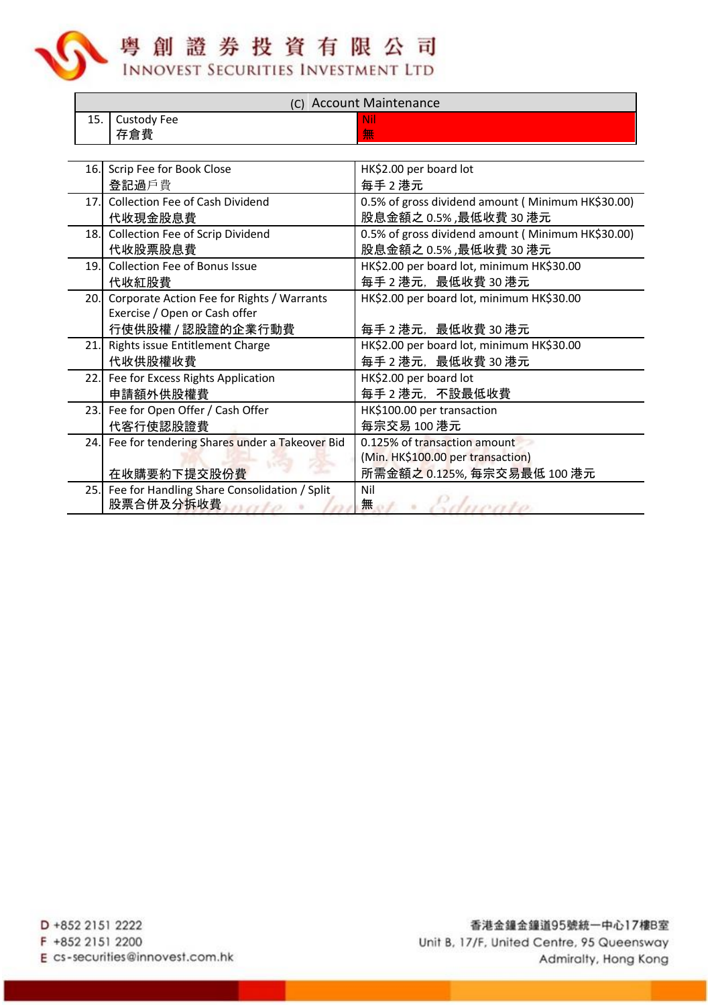粤創證券投資有限公司

**INNOVEST SECURITIES INVESTMENT LTD** 

| (C) Account Maintenance |                                                   |                                                   |  |  |  |
|-------------------------|---------------------------------------------------|---------------------------------------------------|--|--|--|
| 15.                     | Custody Fee                                       | Nil                                               |  |  |  |
|                         | 存倉費                                               | 無                                                 |  |  |  |
|                         |                                                   |                                                   |  |  |  |
|                         | 16. Scrip Fee for Book Close                      | HK\$2.00 per board lot                            |  |  |  |
|                         | 登記過戶費                                             | 每手2港元                                             |  |  |  |
|                         | 17. Collection Fee of Cash Dividend               | 0.5% of gross dividend amount (Minimum HK\$30.00) |  |  |  |
|                         | 代收現金股息費                                           | 股息金額之 0.5%, 最低收費 30 港元                            |  |  |  |
|                         | 18. Collection Fee of Scrip Dividend              | 0.5% of gross dividend amount (Minimum HK\$30.00) |  |  |  |
|                         | 代收股票股息費                                           | 股息金額之 0.5%,最低收費 30 港元                             |  |  |  |
| 19.                     | Collection Fee of Bonus Issue                     | HK\$2.00 per board lot, minimum HK\$30.00         |  |  |  |
|                         | 代收紅股費                                             | 每手2港元, 最低收費30港元                                   |  |  |  |
| 20.                     | Corporate Action Fee for Rights / Warrants        | HK\$2.00 per board lot, minimum HK\$30.00         |  |  |  |
|                         | Exercise / Open or Cash offer                     |                                                   |  |  |  |
|                         | 行使供股權 / 認股證的企業行動費                                 | 每手 2 港元, 最低收費 30 港元                               |  |  |  |
| 21.                     | Rights issue Entitlement Charge                   | HK\$2.00 per board lot, minimum HK\$30.00         |  |  |  |
|                         | 代收供股權收費                                           | 每手2港元, 最低收費30港元                                   |  |  |  |
|                         | 22. Fee for Excess Rights Application             | HK\$2.00 per board lot                            |  |  |  |
|                         | 申請額外供股權費                                          | 每手2港元, 不設最低收費                                     |  |  |  |
|                         | 23. Fee for Open Offer / Cash Offer               | HK\$100.00 per transaction                        |  |  |  |
|                         | 代客行使認股證費                                          | 每宗交易 100 港元                                       |  |  |  |
|                         | 24. Fee for tendering Shares under a Takeover Bid | 0.125% of transaction amount                      |  |  |  |
|                         |                                                   | (Min. HK\$100.00 per transaction)                 |  |  |  |
|                         | 在收購要約下提交股份費                                       | 所需金額之 0.125%, 每宗交易最低 100 港元                       |  |  |  |
|                         | 25. Fee for Handling Share Consolidation / Split  | Nil                                               |  |  |  |
|                         | 股票合併及分拆收費 <i><b>的复</b>制的</i>                      | 無<br>sduoato                                      |  |  |  |

D +852 2151 2222 F +852 2151 2200 E cs-securities@innovest.com.hk